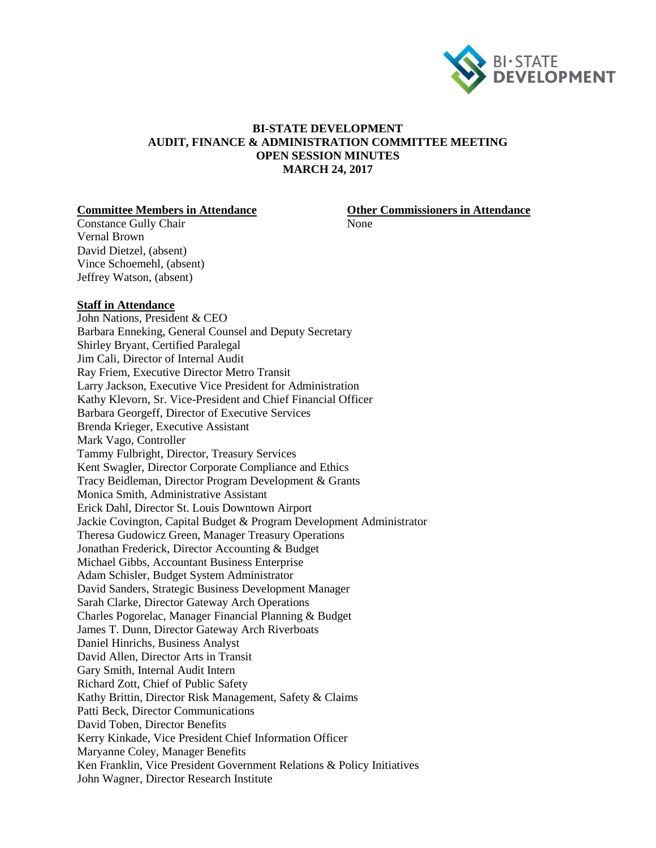

# **BI-STATE DEVELOPMENT AUDIT, FINANCE & ADMINISTRATION COMMITTEE MEETING OPEN SESSION MINUTES MARCH 24, 2017**

### **Committee Members in Attendance Other Commissioners in Attendance**

Constance Gully Chair None Vernal Brown David Dietzel, (absent) Vince Schoemehl, (absent) Jeffrey Watson, (absent)

### **Staff in Attendance**

John Nations, President & CEO Barbara Enneking, General Counsel and Deputy Secretary Shirley Bryant, Certified Paralegal Jim Cali, Director of Internal Audit Ray Friem, Executive Director Metro Transit Larry Jackson, Executive Vice President for Administration Kathy Klevorn, Sr. Vice-President and Chief Financial Officer Barbara Georgeff, Director of Executive Services Brenda Krieger, Executive Assistant Mark Vago, Controller Tammy Fulbright, Director, Treasury Services Kent Swagler, Director Corporate Compliance and Ethics Tracy Beidleman, Director Program Development & Grants Monica Smith, Administrative Assistant Erick Dahl, Director St. Louis Downtown Airport Jackie Covington, Capital Budget & Program Development Administrator Theresa Gudowicz Green, Manager Treasury Operations Jonathan Frederick, Director Accounting & Budget Michael Gibbs, Accountant Business Enterprise Adam Schisler, Budget System Administrator David Sanders, Strategic Business Development Manager Sarah Clarke, Director Gateway Arch Operations Charles Pogorelac, Manager Financial Planning & Budget James T. Dunn, Director Gateway Arch Riverboats Daniel Hinrichs, Business Analyst David Allen, Director Arts in Transit Gary Smith, Internal Audit Intern Richard Zott, Chief of Public Safety Kathy Brittin, Director Risk Management, Safety & Claims Patti Beck, Director Communications David Toben, Director Benefits Kerry Kinkade, Vice President Chief Information Officer Maryanne Coley, Manager Benefits Ken Franklin, Vice President Government Relations & Policy Initiatives John Wagner, Director Research Institute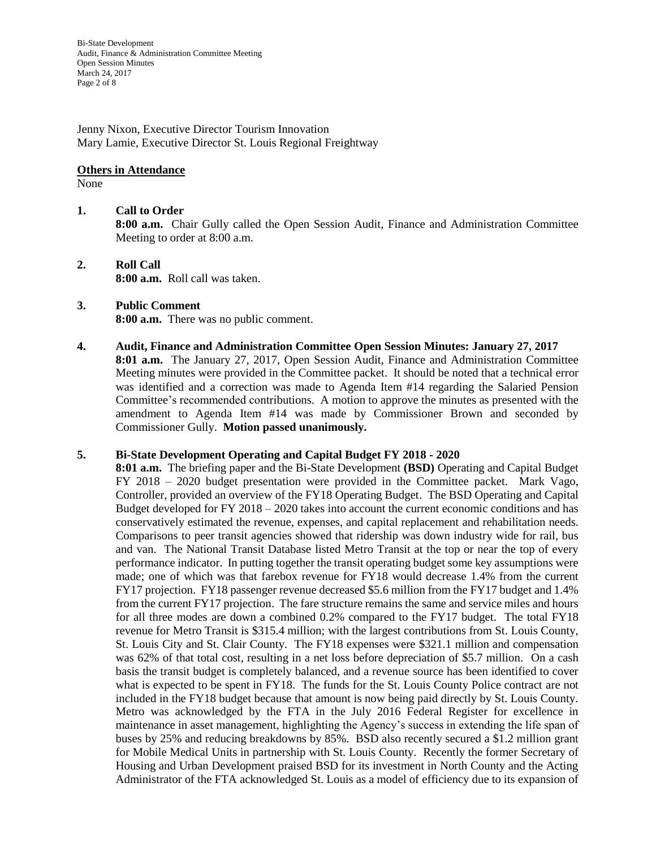Bi-State Development Audit, Finance & Administration Committee Meeting Open Session Minutes March 24, 2017 Page 2 of 8

Jenny Nixon, Executive Director Tourism Innovation Mary Lamie, Executive Director St. Louis Regional Freightway

## **Others in Attendance**

None

# **1. Call to Order**

**8:00 a.m.** Chair Gully called the Open Session Audit, Finance and Administration Committee Meeting to order at 8:00 a.m.

**2. Roll Call 8:00 a.m.** Roll call was taken.

### **3. Public Comment 8:00 a.m.** There was no public comment.

**4. Audit, Finance and Administration Committee Open Session Minutes: January 27, 2017 8:01 a.m.** The January 27, 2017, Open Session Audit, Finance and Administration Committee Meeting minutes were provided in the Committee packet. It should be noted that a technical error was identified and a correction was made to Agenda Item #14 regarding the Salaried Pension Committee's recommended contributions. A motion to approve the minutes as presented with the amendment to Agenda Item #14 was made by Commissioner Brown and seconded by Commissioner Gully. **Motion passed unanimously.**

### **5. Bi-State Development Operating and Capital Budget FY 2018 - 2020**

**8:01 a.m.** The briefing paper and the Bi-State Development **(BSD)** Operating and Capital Budget FY 2018 – 2020 budget presentation were provided in the Committee packet. Mark Vago, Controller, provided an overview of the FY18 Operating Budget. The BSD Operating and Capital Budget developed for FY 2018 – 2020 takes into account the current economic conditions and has conservatively estimated the revenue, expenses, and capital replacement and rehabilitation needs. Comparisons to peer transit agencies showed that ridership was down industry wide for rail, bus and van. The National Transit Database listed Metro Transit at the top or near the top of every performance indicator. In putting together the transit operating budget some key assumptions were made; one of which was that farebox revenue for FY18 would decrease 1.4% from the current FY17 projection. FY18 passenger revenue decreased \$5.6 million from the FY17 budget and 1.4% from the current FY17 projection. The fare structure remains the same and service miles and hours for all three modes are down a combined 0.2% compared to the FY17 budget. The total FY18 revenue for Metro Transit is \$315.4 million; with the largest contributions from St. Louis County, St. Louis City and St. Clair County. The FY18 expenses were \$321.1 million and compensation was 62% of that total cost, resulting in a net loss before depreciation of \$5.7 million. On a cash basis the transit budget is completely balanced, and a revenue source has been identified to cover what is expected to be spent in FY18. The funds for the St. Louis County Police contract are not included in the FY18 budget because that amount is now being paid directly by St. Louis County. Metro was acknowledged by the FTA in the July 2016 Federal Register for excellence in maintenance in asset management, highlighting the Agency's success in extending the life span of buses by 25% and reducing breakdowns by 85%. BSD also recently secured a \$1.2 million grant for Mobile Medical Units in partnership with St. Louis County. Recently the former Secretary of Housing and Urban Development praised BSD for its investment in North County and the Acting Administrator of the FTA acknowledged St. Louis as a model of efficiency due to its expansion of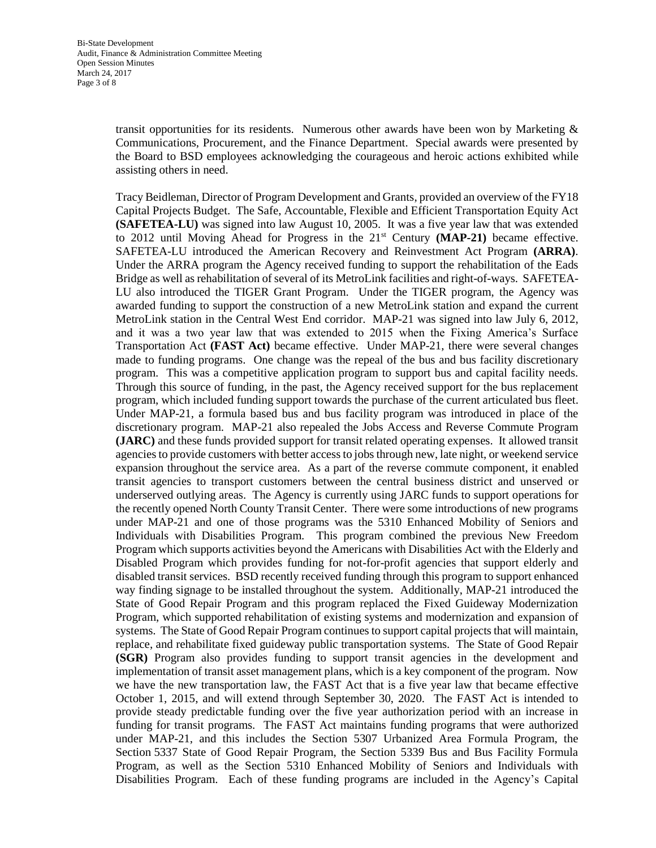transit opportunities for its residents. Numerous other awards have been won by Marketing & Communications, Procurement, and the Finance Department. Special awards were presented by the Board to BSD employees acknowledging the courageous and heroic actions exhibited while assisting others in need.

Tracy Beidleman, Director of Program Development and Grants, provided an overview of the FY18 Capital Projects Budget. The Safe, Accountable, Flexible and Efficient Transportation Equity Act **(SAFETEA-LU)** was signed into law August 10, 2005. It was a five year law that was extended to 2012 until Moving Ahead for Progress in the  $21<sup>st</sup>$  Century (**MAP-21**) became effective. SAFETEA-LU introduced the American Recovery and Reinvestment Act Program **(ARRA)**. Under the ARRA program the Agency received funding to support the rehabilitation of the Eads Bridge as well as rehabilitation of several of its MetroLink facilities and right-of-ways. SAFETEA-LU also introduced the TIGER Grant Program. Under the TIGER program, the Agency was awarded funding to support the construction of a new MetroLink station and expand the current MetroLink station in the Central West End corridor. MAP-21 was signed into law July 6, 2012, and it was a two year law that was extended to 2015 when the Fixing America's Surface Transportation Act **(FAST Act)** became effective. Under MAP-21, there were several changes made to funding programs. One change was the repeal of the bus and bus facility discretionary program. This was a competitive application program to support bus and capital facility needs. Through this source of funding, in the past, the Agency received support for the bus replacement program, which included funding support towards the purchase of the current articulated bus fleet. Under MAP-21, a formula based bus and bus facility program was introduced in place of the discretionary program. MAP-21 also repealed the Jobs Access and Reverse Commute Program **(JARC)** and these funds provided support for transit related operating expenses. It allowed transit agencies to provide customers with better access to jobs through new, late night, or weekend service expansion throughout the service area. As a part of the reverse commute component, it enabled transit agencies to transport customers between the central business district and unserved or underserved outlying areas. The Agency is currently using JARC funds to support operations for the recently opened North County Transit Center. There were some introductions of new programs under MAP-21 and one of those programs was the 5310 Enhanced Mobility of Seniors and Individuals with Disabilities Program. This program combined the previous New Freedom Program which supports activities beyond the Americans with Disabilities Act with the Elderly and Disabled Program which provides funding for not-for-profit agencies that support elderly and disabled transit services. BSD recently received funding through this program to support enhanced way finding signage to be installed throughout the system. Additionally, MAP-21 introduced the State of Good Repair Program and this program replaced the Fixed Guideway Modernization Program, which supported rehabilitation of existing systems and modernization and expansion of systems. The State of Good Repair Program continues to support capital projects that will maintain, replace, and rehabilitate fixed guideway public transportation systems. The State of Good Repair **(SGR)** Program also provides funding to support transit agencies in the development and implementation of transit asset management plans, which is a key component of the program. Now we have the new transportation law, the FAST Act that is a five year law that became effective October 1, 2015, and will extend through September 30, 2020. The FAST Act is intended to provide steady predictable funding over the five year authorization period with an increase in funding for transit programs. The FAST Act maintains funding programs that were authorized under MAP-21, and this includes the Section 5307 Urbanized Area Formula Program, the Section 5337 State of Good Repair Program, the Section 5339 Bus and Bus Facility Formula Program, as well as the Section 5310 Enhanced Mobility of Seniors and Individuals with Disabilities Program. Each of these funding programs are included in the Agency's Capital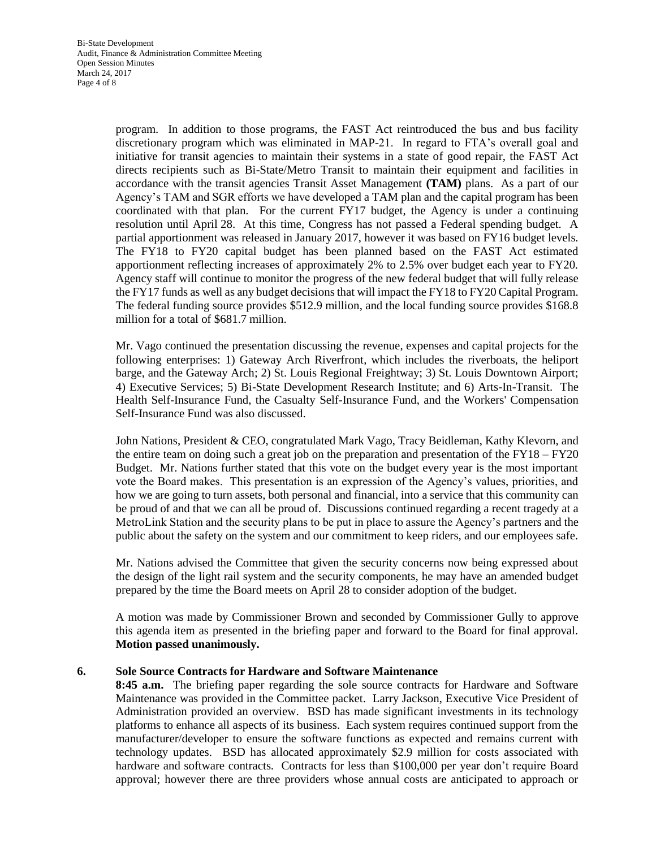program. In addition to those programs, the FAST Act reintroduced the bus and bus facility discretionary program which was eliminated in MAP-21. In regard to FTA's overall goal and initiative for transit agencies to maintain their systems in a state of good repair, the FAST Act directs recipients such as Bi-State/Metro Transit to maintain their equipment and facilities in accordance with the transit agencies Transit Asset Management **(TAM)** plans. As a part of our Agency's TAM and SGR efforts we have developed a TAM plan and the capital program has been coordinated with that plan. For the current FY17 budget, the Agency is under a continuing resolution until April 28. At this time, Congress has not passed a Federal spending budget. A partial apportionment was released in January 2017, however it was based on FY16 budget levels. The FY18 to FY20 capital budget has been planned based on the FAST Act estimated apportionment reflecting increases of approximately 2% to 2.5% over budget each year to FY20. Agency staff will continue to monitor the progress of the new federal budget that will fully release the FY17 funds as well as any budget decisions that will impact the FY18 to FY20 Capital Program. The federal funding source provides \$512.9 million, and the local funding source provides \$168.8 million for a total of \$681.7 million.

Mr. Vago continued the presentation discussing the revenue, expenses and capital projects for the following enterprises: 1) Gateway Arch Riverfront, which includes the riverboats, the heliport barge, and the Gateway Arch; 2) St. Louis Regional Freightway; 3) St. Louis Downtown Airport; 4) Executive Services; 5) Bi-State Development Research Institute; and 6) Arts-In-Transit. The Health Self-Insurance Fund, the Casualty Self-Insurance Fund, and the Workers' Compensation Self-Insurance Fund was also discussed.

John Nations, President & CEO, congratulated Mark Vago, Tracy Beidleman, Kathy Klevorn, and the entire team on doing such a great job on the preparation and presentation of the FY18 – FY20 Budget. Mr. Nations further stated that this vote on the budget every year is the most important vote the Board makes. This presentation is an expression of the Agency's values, priorities, and how we are going to turn assets, both personal and financial, into a service that this community can be proud of and that we can all be proud of. Discussions continued regarding a recent tragedy at a MetroLink Station and the security plans to be put in place to assure the Agency's partners and the public about the safety on the system and our commitment to keep riders, and our employees safe.

Mr. Nations advised the Committee that given the security concerns now being expressed about the design of the light rail system and the security components, he may have an amended budget prepared by the time the Board meets on April 28 to consider adoption of the budget.

A motion was made by Commissioner Brown and seconded by Commissioner Gully to approve this agenda item as presented in the briefing paper and forward to the Board for final approval. **Motion passed unanimously.** 

## **6. Sole Source Contracts for Hardware and Software Maintenance**

**8:45 a.m.** The briefing paper regarding the sole source contracts for Hardware and Software Maintenance was provided in the Committee packet. Larry Jackson, Executive Vice President of Administration provided an overview. BSD has made significant investments in its technology platforms to enhance all aspects of its business. Each system requires continued support from the manufacturer/developer to ensure the software functions as expected and remains current with technology updates. BSD has allocated approximately \$2.9 million for costs associated with hardware and software contracts. Contracts for less than \$100,000 per year don't require Board approval; however there are three providers whose annual costs are anticipated to approach or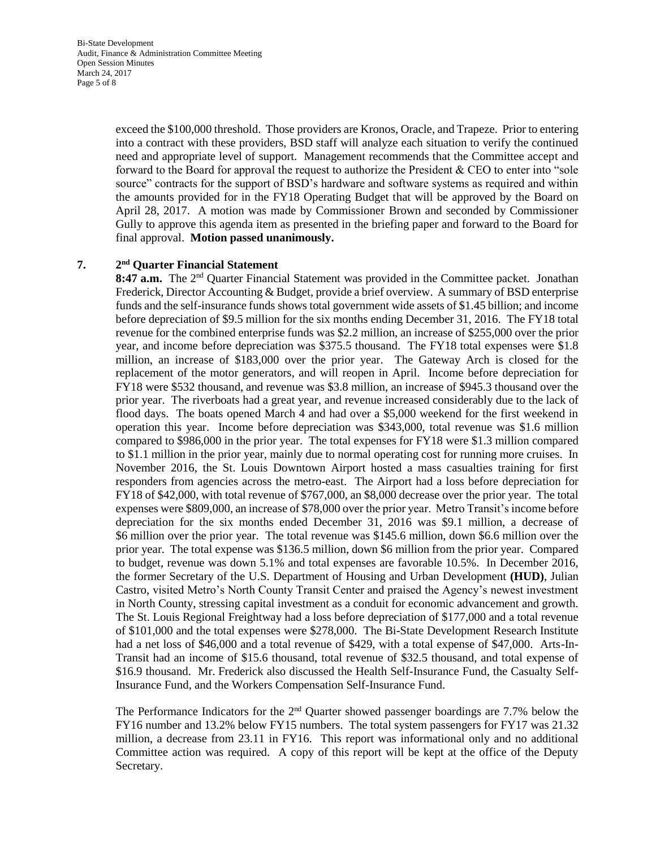Bi-State Development Audit, Finance & Administration Committee Meeting Open Session Minutes March 24, 2017 Page 5 of 8

> exceed the \$100,000 threshold. Those providers are Kronos, Oracle, and Trapeze. Prior to entering into a contract with these providers, BSD staff will analyze each situation to verify the continued need and appropriate level of support. Management recommends that the Committee accept and forward to the Board for approval the request to authorize the President & CEO to enter into "sole source" contracts for the support of BSD's hardware and software systems as required and within the amounts provided for in the FY18 Operating Budget that will be approved by the Board on April 28, 2017. A motion was made by Commissioner Brown and seconded by Commissioner Gully to approve this agenda item as presented in the briefing paper and forward to the Board for final approval. **Motion passed unanimously.**

#### **7. 2 nd Quarter Financial Statement**

8:47 **a.m.** The 2<sup>nd</sup> Quarter Financial Statement was provided in the Committee packet. Jonathan Frederick, Director Accounting & Budget, provide a brief overview. A summary of BSD enterprise funds and the self-insurance funds shows total government wide assets of \$1.45 billion; and income before depreciation of \$9.5 million for the six months ending December 31, 2016. The FY18 total revenue for the combined enterprise funds was \$2.2 million, an increase of \$255,000 over the prior year, and income before depreciation was \$375.5 thousand. The FY18 total expenses were \$1.8 million, an increase of \$183,000 over the prior year. The Gateway Arch is closed for the replacement of the motor generators, and will reopen in April. Income before depreciation for FY18 were \$532 thousand, and revenue was \$3.8 million, an increase of \$945.3 thousand over the prior year. The riverboats had a great year, and revenue increased considerably due to the lack of flood days. The boats opened March 4 and had over a \$5,000 weekend for the first weekend in operation this year. Income before depreciation was \$343,000, total revenue was \$1.6 million compared to \$986,000 in the prior year. The total expenses for FY18 were \$1.3 million compared to \$1.1 million in the prior year, mainly due to normal operating cost for running more cruises. In November 2016, the St. Louis Downtown Airport hosted a mass casualties training for first responders from agencies across the metro-east. The Airport had a loss before depreciation for FY18 of \$42,000, with total revenue of \$767,000, an \$8,000 decrease over the prior year. The total expenses were \$809,000, an increase of \$78,000 over the prior year. Metro Transit's income before depreciation for the six months ended December 31, 2016 was \$9.1 million, a decrease of \$6 million over the prior year. The total revenue was \$145.6 million, down \$6.6 million over the prior year. The total expense was \$136.5 million, down \$6 million from the prior year. Compared to budget, revenue was down 5.1% and total expenses are favorable 10.5%. In December 2016, the former Secretary of the U.S. Department of Housing and Urban Development **(HUD)**, Julian Castro, visited Metro's North County Transit Center and praised the Agency's newest investment in North County, stressing capital investment as a conduit for economic advancement and growth. The St. Louis Regional Freightway had a loss before depreciation of \$177,000 and a total revenue of \$101,000 and the total expenses were \$278,000. The Bi-State Development Research Institute had a net loss of \$46,000 and a total revenue of \$429, with a total expense of \$47,000. Arts-In-Transit had an income of \$15.6 thousand, total revenue of \$32.5 thousand, and total expense of \$16.9 thousand. Mr. Frederick also discussed the Health Self-Insurance Fund, the Casualty Self-Insurance Fund, and the Workers Compensation Self-Insurance Fund.

The Performance Indicators for the 2<sup>nd</sup> Quarter showed passenger boardings are 7.7% below the FY16 number and 13.2% below FY15 numbers. The total system passengers for FY17 was 21.32 million, a decrease from 23.11 in FY16. This report was informational only and no additional Committee action was required. A copy of this report will be kept at the office of the Deputy Secretary.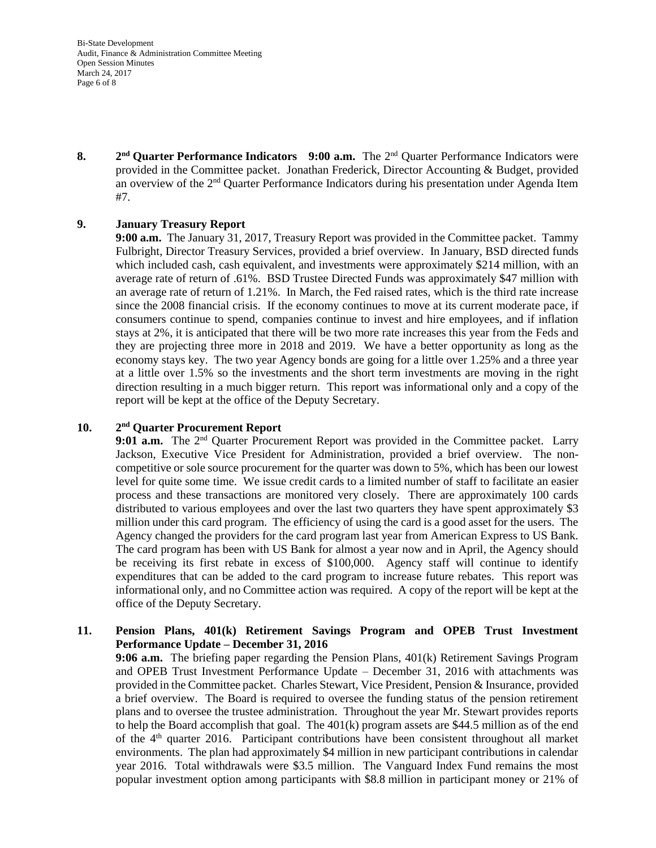Bi-State Development Audit, Finance & Administration Committee Meeting Open Session Minutes March 24, 2017 Page 6 of 8

**8. 2** 2<sup>nd</sup> Quarter Performance Indicators 9:00 a.m. The 2<sup>nd</sup> Quarter Performance Indicators were provided in the Committee packet. Jonathan Frederick, Director Accounting & Budget, provided an overview of the  $2<sup>nd</sup>$  Quarter Performance Indicators during his presentation under Agenda Item #7.

# **9. January Treasury Report**

**9:00 a.m.** The January 31, 2017, Treasury Report was provided in the Committee packet. Tammy Fulbright, Director Treasury Services, provided a brief overview. In January, BSD directed funds which included cash, cash equivalent, and investments were approximately \$214 million, with an average rate of return of .61%. BSD Trustee Directed Funds was approximately \$47 million with an average rate of return of 1.21%. In March, the Fed raised rates, which is the third rate increase since the 2008 financial crisis. If the economy continues to move at its current moderate pace, if consumers continue to spend, companies continue to invest and hire employees, and if inflation stays at 2%, it is anticipated that there will be two more rate increases this year from the Feds and they are projecting three more in 2018 and 2019. We have a better opportunity as long as the economy stays key. The two year Agency bonds are going for a little over 1.25% and a three year at a little over 1.5% so the investments and the short term investments are moving in the right direction resulting in a much bigger return. This report was informational only and a copy of the report will be kept at the office of the Deputy Secretary.

#### $10.$ **nd Quarter Procurement Report**

9:01 **a.m.** The 2<sup>nd</sup> Quarter Procurement Report was provided in the Committee packet. Larry Jackson, Executive Vice President for Administration, provided a brief overview. The noncompetitive or sole source procurement for the quarter was down to 5%, which has been our lowest level for quite some time. We issue credit cards to a limited number of staff to facilitate an easier process and these transactions are monitored very closely. There are approximately 100 cards distributed to various employees and over the last two quarters they have spent approximately \$3 million under this card program. The efficiency of using the card is a good asset for the users. The Agency changed the providers for the card program last year from American Express to US Bank. The card program has been with US Bank for almost a year now and in April, the Agency should be receiving its first rebate in excess of \$100,000. Agency staff will continue to identify expenditures that can be added to the card program to increase future rebates. This report was informational only, and no Committee action was required. A copy of the report will be kept at the office of the Deputy Secretary.

# **11. Pension Plans, 401(k) Retirement Savings Program and OPEB Trust Investment Performance Update – December 31, 2016**

**9:06 a.m.** The briefing paper regarding the Pension Plans, 401(k) Retirement Savings Program and OPEB Trust Investment Performance Update – December 31, 2016 with attachments was provided in the Committee packet. Charles Stewart, Vice President, Pension & Insurance, provided a brief overview. The Board is required to oversee the funding status of the pension retirement plans and to oversee the trustee administration. Throughout the year Mr. Stewart provides reports to help the Board accomplish that goal. The 401(k) program assets are \$44.5 million as of the end of the  $4<sup>th</sup>$  quarter 2016. Participant contributions have been consistent throughout all market environments. The plan had approximately \$4 million in new participant contributions in calendar year 2016. Total withdrawals were \$3.5 million. The Vanguard Index Fund remains the most popular investment option among participants with \$8.8 million in participant money or 21% of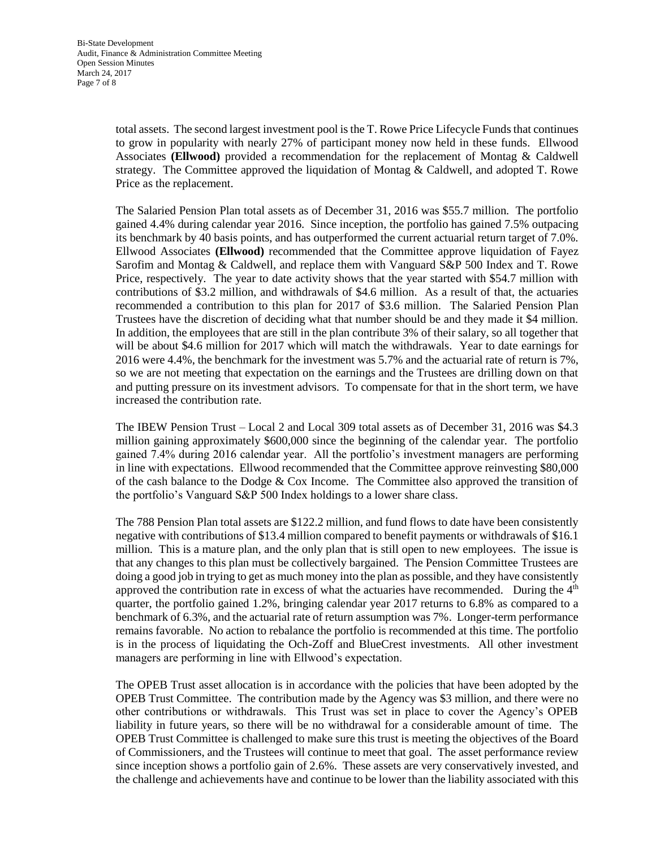total assets. The second largest investment pool is the T. Rowe Price Lifecycle Funds that continues to grow in popularity with nearly 27% of participant money now held in these funds. Ellwood Associates **(Ellwood)** provided a recommendation for the replacement of Montag & Caldwell strategy. The Committee approved the liquidation of Montag & Caldwell, and adopted T. Rowe Price as the replacement.

The Salaried Pension Plan total assets as of December 31, 2016 was \$55.7 million. The portfolio gained 4.4% during calendar year 2016. Since inception, the portfolio has gained 7.5% outpacing its benchmark by 40 basis points, and has outperformed the current actuarial return target of 7.0%. Ellwood Associates **(Ellwood)** recommended that the Committee approve liquidation of Fayez Sarofim and Montag & Caldwell, and replace them with Vanguard S&P 500 Index and T. Rowe Price, respectively. The year to date activity shows that the year started with \$54.7 million with contributions of \$3.2 million, and withdrawals of \$4.6 million. As a result of that, the actuaries recommended a contribution to this plan for 2017 of \$3.6 million. The Salaried Pension Plan Trustees have the discretion of deciding what that number should be and they made it \$4 million. In addition, the employees that are still in the plan contribute 3% of their salary, so all together that will be about \$4.6 million for 2017 which will match the withdrawals. Year to date earnings for 2016 were 4.4%, the benchmark for the investment was 5.7% and the actuarial rate of return is 7%, so we are not meeting that expectation on the earnings and the Trustees are drilling down on that and putting pressure on its investment advisors. To compensate for that in the short term, we have increased the contribution rate.

The IBEW Pension Trust – Local 2 and Local 309 total assets as of December 31, 2016 was \$4.3 million gaining approximately \$600,000 since the beginning of the calendar year. The portfolio gained 7.4% during 2016 calendar year. All the portfolio's investment managers are performing in line with expectations. Ellwood recommended that the Committee approve reinvesting \$80,000 of the cash balance to the Dodge & Cox Income. The Committee also approved the transition of the portfolio's Vanguard S&P 500 Index holdings to a lower share class.

The 788 Pension Plan total assets are \$122.2 million, and fund flows to date have been consistently negative with contributions of \$13.4 million compared to benefit payments or withdrawals of \$16.1 million. This is a mature plan, and the only plan that is still open to new employees. The issue is that any changes to this plan must be collectively bargained. The Pension Committee Trustees are doing a good job in trying to get as much money into the plan as possible, and they have consistently approved the contribution rate in excess of what the actuaries have recommended. During the  $4<sup>th</sup>$ quarter, the portfolio gained 1.2%, bringing calendar year 2017 returns to 6.8% as compared to a benchmark of 6.3%, and the actuarial rate of return assumption was 7%. Longer-term performance remains favorable. No action to rebalance the portfolio is recommended at this time. The portfolio is in the process of liquidating the Och-Zoff and BlueCrest investments. All other investment managers are performing in line with Ellwood's expectation.

The OPEB Trust asset allocation is in accordance with the policies that have been adopted by the OPEB Trust Committee. The contribution made by the Agency was \$3 million, and there were no other contributions or withdrawals. This Trust was set in place to cover the Agency's OPEB liability in future years, so there will be no withdrawal for a considerable amount of time. The OPEB Trust Committee is challenged to make sure this trust is meeting the objectives of the Board of Commissioners, and the Trustees will continue to meet that goal. The asset performance review since inception shows a portfolio gain of 2.6%. These assets are very conservatively invested, and the challenge and achievements have and continue to be lower than the liability associated with this